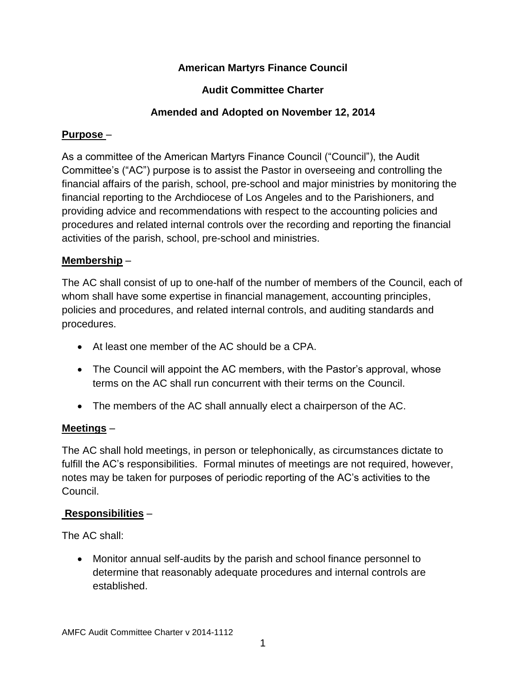# **American Martyrs Finance Council**

### **Audit Committee Charter**

### **Amended and Adopted on November 12, 2014**

#### **Purpose** –

As a committee of the American Martyrs Finance Council ("Council"), the Audit Committee's ("AC") purpose is to assist the Pastor in overseeing and controlling the financial affairs of the parish, school, pre-school and major ministries by monitoring the financial reporting to the Archdiocese of Los Angeles and to the Parishioners, and providing advice and recommendations with respect to the accounting policies and procedures and related internal controls over the recording and reporting the financial activities of the parish, school, pre-school and ministries.

#### **Membership** –

The AC shall consist of up to one-half of the number of members of the Council, each of whom shall have some expertise in financial management, accounting principles, policies and procedures, and related internal controls, and auditing standards and procedures.

- At least one member of the AC should be a CPA.
- The Council will appoint the AC members, with the Pastor's approval, whose terms on the AC shall run concurrent with their terms on the Council.
- The members of the AC shall annually elect a chairperson of the AC.

#### **Meetings** –

The AC shall hold meetings, in person or telephonically, as circumstances dictate to fulfill the AC's responsibilities. Formal minutes of meetings are not required, however, notes may be taken for purposes of periodic reporting of the AC's activities to the Council.

# **Responsibilities** –

The AC shall:

 Monitor annual self-audits by the parish and school finance personnel to determine that reasonably adequate procedures and internal controls are established.